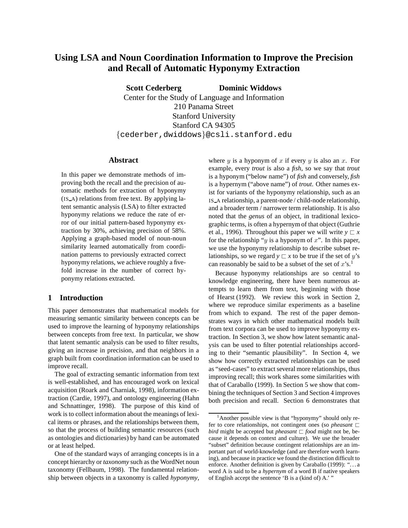# **Using LSA and Noun Coordination Information to Improve the Precision and Recall of Automatic Hyponymy Extraction**

**Scott Cederberg Dominic Widdows** Center for the Study of Language and Information 210 Panama Street Stanford University Stanford CA 94305 {cederber,dwiddows}@csli.stanford.edu

### **Abstract**

In this paper we demonstrate methods of improving both the recall and the precision of automatic methods for extraction of hyponymy (IS A) relations from free text. By applying latent semantic analysis (LSA) to filter extracted hyponymy relations we reduce the rate of error of our initial pattern-based hyponymy extraction by 30%, achieving precision of 58%. Applying a graph-based model of noun-noun similarity learned automatically from coordination patterns to previously extracted correct hyponymy relations, we achieve roughly a fivefold increase in the number of correct hyponymy relations extracted.

## **1 Introduction**

This paper demonstrates that mathematical models for measuring semantic similarity between concepts can be used to improve the learning of hyponymy relationships between concepts from free text. In particular, we show that latent semantic analysis can be used to filter results, giving an increase in precision, and that neighbors in a graph built from coordination information can be used to improve recall.

The goal of extracting semantic information from text is well-established, and has encouraged work on lexical acquisition (Roark and Charniak, 1998), information extraction (Cardie, 1997), and ontology engineering (Hahn and Schnattinger, 1998). The purpose of this kind of work is to collect information about the meanings of lexical items or phrases, and the relationships between them, so that the process of building semantic resources (such as ontologies and dictionaries) by hand can be automated or at least helped.

One of the standard ways of arranging concepts is in a concept hierarchy or *taxonomy* such as the WordNet noun taxonomy (Fellbaum, 1998). The fundamental relationship between objects in a taxonomy is called *hyponymy*, where  $y$  is a hyponym of  $x$  if every  $y$  is also an  $x$ . For example, every *trout* is also a *fish*, so we say that *trout* is a hyponym ("below name") of *fish* and conversely, *fish* is a hypernym ("above name") of *trout*. Other names exist for variants of the hyponymy relationship, such as an IS A relationship, a parent-node / child-node relationship, and a broader term / narrower term relationship. It is also noted that the *genus* of an object, in traditional lexicographic terms, is often a hypernym of that object (Guthrie et al., 1996). Throughout this paper we will write  $y \sqsubset x$ for the relationship "y is a hyponym of  $x$ ". In this paper, we use the hyponymy relationship to describe subset relationships, so we regard  $y \sqsubset x$  to be true if the set of y's can reasonably be said to be a subset of the set of  $x$ 's.<sup>1</sup>

Because hyponymy relationships are so central to knowledge engineering, there have been numerous attempts to learn them from text, beginning with those of Hearst (1992). We review this work in Section 2, where we reproduce similar experiments as a baseline from which to expand. The rest of the paper demonstrates ways in which other mathematical models built from text corpora can be used to improve hyponymy extraction. In Section 3, we show how latent semantic analysis can be used to filter potential relationships according to their "semantic plausibility". In Section 4, we show how correctly extracted relationships can be used as "seed-cases" to extract several more relationships, thus improving recall; this work shares some similarities with that of Caraballo (1999). In Section 5 we show that combining the techniques of Section 3 and Section 4 improves both precision and recall. Section 6 demonstrates that

 $<sup>1</sup>$ Another possible view is that "hyponymy" should only re-</sup> fer to core relationships, not contingent ones (so *pheasant*  $\sqsubset$ *bird* might be accepted but *pheasant*  $\Box$  *food* might not be, because it depends on context and culture). We use the broader "subset" definition because contingent relationships are an important part of world-knowledge (and are therefore worth learning), and because in practice we found the distinction difficult to enforce. Another definition is given by Caraballo (1999): "...a word A is said to be a *hypernym* of a word B if native speakers of English accept the sentence 'B is a (kind of) A.' "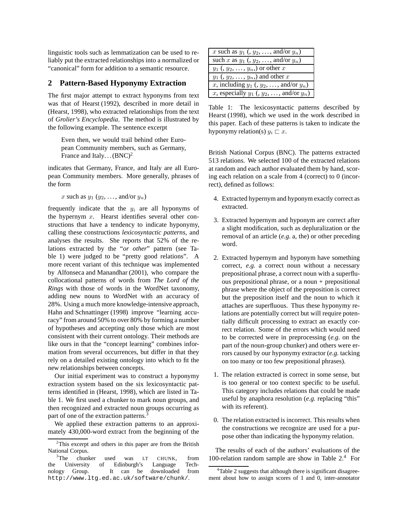linguistic tools such as lemmatization can be used to reliably put the extracted relationships into a normalized or "canonical" form for addition to a semantic resource.

## **2 Pattern-Based Hyponymy Extraction**

The first major attempt to extract hyponyms from text was that of Hearst (1992), described in more detail in (Hearst, 1998), who extracted relationships from the text of *Grolier's Encyclopedia*. The method is illustrated by the following example. The sentence excerpt

Even then, we would trail behind other European Community members, such as Germany, France and Italy... $(BNC)^2$ 

indicates that Germany, France, and Italy are all European Community members. More generally, phrases of the form

x such as  $y_1$  ( $y_2$ , ..., and/or  $y_n$ )

frequently indicate that the  $y_i$  are all hyponyms of the hypernym  $x$ . Hearst identifies several other constructions that have a tendency to indicate hyponymy, calling these constructions *lexicosyntactic patterns*, and analyses the results. She reports that 52% of the relations extracted by the "*or other*" pattern (see Table 1) were judged to be "pretty good relations". A more recent variant of this technique was implemented by Alfonseca and Manandhar (2001), who compare the collocational patterns of words from *The Lord of the Rings* with those of words in the WordNet taxonomy, adding new nouns to WordNet with an accuracy of 28%. Using a much more knowledge-intensive approach, Hahn and Schnattinger (1998) improve "learning accuracy" from around 50% to over 80% by forming a number of hypotheses and accepting only those which are most consistent with their current ontology. Their methods are like ours in that the "concept learning" combines information from several occurrences, but differ in that they rely on a detailed existing ontology into which to fit the new relationships between concepts.

Our initial experiment was to construct a hyponymy extraction system based on the six lexicosyntactic patterns identified in (Hearst, 1998), which are listed in Table 1. We first used a chunker to mark noun groups, and then recognized and extracted noun groups occurring as part of one of the extraction patterns.<sup>3</sup>

We applied these extraction patterns to an approximately 430,000-word extract from the beginning of the

| x such as $y_1$ (, $y_2$ , , and/or $y_n$ )     |
|-------------------------------------------------|
| such x as $y_1$ (, $y_2$ , , and/or $y_n$ )     |
| $y_1$ (, $y_2, \ldots, y_n$ ) or other x        |
| $y_1$ (, $y_2, \ldots, y_n$ ) and other x       |
| x, including $y_1$ (, $y_2$ , , and/or $y_n$ )  |
| x, especially $y_1$ (, $y_2$ , , and/or $y_n$ ) |

Table 1: The lexicosyntactic patterns described by Hearst (1998), which we used in the work described in this paper. Each of these patterns is taken to indicate the hyponymy relation(s)  $y_i \sqsubset x$ .

British National Corpus (BNC). The patterns extracted 513 relations. We selected 100 of the extracted relations at random and each author evaluated them by hand, scoring each relation on a scale from 4 (correct) to 0 (incorrect), defined as follows:

- 4. Extracted hypernym and hyponym exactly correct as extracted.
- 3. Extracted hypernym and hyponym are correct after a slight modification, such as depluralization or the removal of an article (*e.g.* a, the) or other preceding word.
- 2. Extracted hypernym and hyponym have something correct, *e.g.* a correct noun without a necessary prepositional phrase, a correct noun with a superfluous prepositional phrase, or a noun + prepositional phrase where the object of the preposition is correct but the preposition itself and the noun to which it attaches are superfluous. Thus these hyponymy relations are potentially correct but will require potentially difficult processing to extract an exactly correct relation. Some of the errors which would need to be corrected were in preprocessing (*e.g.* on the part of the noun-group chunker) and others were errors caused by our hyponymy extractor (*e.g.* tacking on too many or too few prepositional phrases).
- 1. The relation extracted is correct in some sense, but is too general or too context specific to be useful. This category includes relations that could be made useful by anaphora resolution (*e.g.* replacing "this" with its referent).
- 0. The relation extracted is incorrect. This results when the constructions we recognize are used for a purpose other than indicating the hyponymy relation.

The results of each of the authors' evaluations of the 100-relation random sample are show in Table  $2<sup>4</sup>$  For

 $2$ This excerpt and others in this paper are from the British National Corpus.

 $3$ The chunker used was LT CHUNK, from the University of Edinburgh's Language Technology Group. It can be downloaded from http://www.ltg.ed.ac.uk/software/chunk/.

<sup>&</sup>lt;sup>4</sup>Table 2 suggests that although there is significant disagreement about how to assign scores of 1 and 0, inter-annotator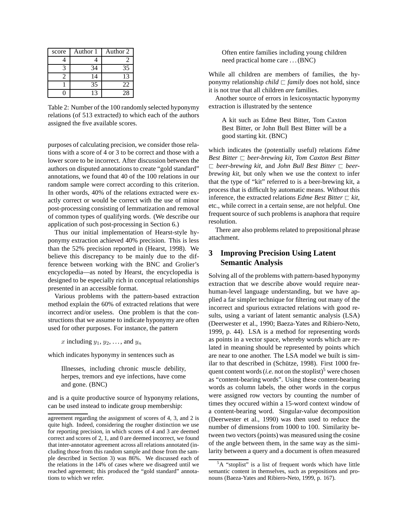| score | Author 1 | Author 2 |
|-------|----------|----------|
|       |          |          |
|       |          | 35       |
|       | 14       | 13       |
|       | 35       | 22       |
|       | 13       | 28       |

Table 2: Number of the 100 randomly selected hyponymy relations (of 513 extracted) to which each of the authors assigned the five available scores.

purposes of calculating precision, we consider those relations with a score of 4 or 3 to be correct and those with a lower score to be incorrect. After discussion between the authors on disputed annotations to create "gold standard" annotations, we found that 40 of the 100 relations in our random sample were correct according to this criterion. In other words, 40% of the relations extracted were exactly correct or would be correct with the use of minor post-processing consisting of lemmatization and removal of common types of qualifying words. (We describe our application of such post-processing in Section 6.)

Thus our initial implementation of Hearst-style hyponymy extraction achieved 40% precision. This is less than the 52% precision reported in (Hearst, 1998). We believe this discrepancy to be mainly due to the difference between working with the BNC and Grolier's encyclopedia—as noted by Hearst, the encyclopedia is designed to be especially rich in conceptual relationships presented in an accessible format.

Various problems with the pattern-based extraction method explain the 60% of extracted relations that were incorrect and/or useless. One problem is that the constructions that we assume to indicate hyponymy are often used for other purposes. For instance, the pattern

x including  $y_1, y_2, \ldots$ , and  $y_n$ 

which indicates hyponymy in sentences such as

Illnesses, including chronic muscle debility, herpes, tremors and eye infections, have come and gone. (BNC)

and is a quite productive source of hyponymy relations, can be used instead to indicate group membership:

Often entire families including young children need practical home care . . . (BNC)

While all children are members of families, the hyponymy relationship *child*  $\sqsubset$  *family* does not hold, since it is not true that all children *are* families.

Another source of errors in lexicosyntactic hyponymy extraction is illustrated by the sentence

A kit such as Edme Best Bitter, Tom Caxton Best Bitter, or John Bull Best Bitter will be a good starting kit. (BNC)

which indicates the (potentially useful) relations *Edme Best Bitter*  $⊏$  *beer-brewing kit, Tom Caxton Best Bitter*  $\Box$  *beer-brewing kit, and John Bull Best Bitter*  $\Box$  *beerbrewing kit*, but only when we use the context to infer that the type of "kit" referred to is a beer-brewing kit, a process that is difficult by automatic means. Without this inference, the extracted relations *Edme Best Bitter*  $\Box$  *kit*, etc., while correct in a certain sense, are not helpful. One frequent source of such problems is anaphora that require resolution.

There are also problems related to prepositional phrase attachment.

## **3 Improving Precision Using Latent Semantic Analysis**

Solving all of the problems with pattern-based hyponymy extraction that we describe above would require nearhuman-level language understanding, but we have applied a far simpler technique for filtering out many of the incorrect and spurious extracted relations with good results, using a variant of latent semantic analysis (LSA) (Deerwester et al., 1990; Baeza-Yates and Ribiero-Neto, 1999, p. 44). LSA is a method for representing words as points in a vector space, whereby words which are related in meaning should be represented by points which are near to one another. The LSA model we built is similar to that described in (Schütze, 1998). First 1000 frequent content words (*i.e.* not on the stoplist)<sup>5</sup> were chosen as "content-bearing words". Using these content-bearing words as column labels, the other words in the corpus were assigned row vectors by counting the number of times they occured within a 15-word context window of a content-bearing word. Singular-value decomposition (Deerwester et al., 1990) was then used to reduce the number of dimensions from 1000 to 100. Similarity between two vectors (points) was measured using the cosine of the angle between them, in the same way as the similarity between a query and a document is often measured

agreement regarding the assignment of scores of 4, 3, and 2 is quite high. Indeed, considering the rougher distinction we use for reporting precision, in which scores of 4 and 3 are deemed correct and scores of 2, 1, and 0 are deemed incorrect, we found that inter-annotator agreement across all relations annotated (including those from this random sample and those from the sample described in Section 3) was 86%. We discussed each of the relations in the 14% of cases where we disagreed until we reached agreement; this produced the "gold standard" annotations to which we refer.

<sup>&</sup>lt;sup>5</sup>A "stoplist" is a list of frequent words which have little semantic content in themselves, such as prepositions and pronouns (Baeza-Yates and Ribiero-Neto, 1999, p. 167).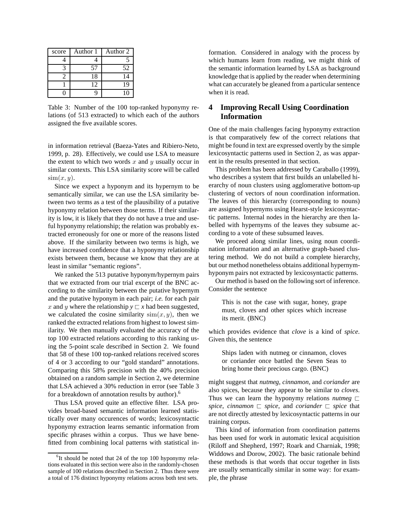| score | Author 1 | Author 2 |
|-------|----------|----------|
|       |          |          |
|       | 57       | 52       |
|       | 18       | 14       |
|       | 12       | 19       |
|       |          | 10       |

Table 3: Number of the 100 top-ranked hyponymy relations (of 513 extracted) to which each of the authors assigned the five available scores.

in information retrieval (Baeza-Yates and Ribiero-Neto, 1999, p. 28). Effectively, we could use LSA to measure the extent to which two words  $x$  and  $y$  usually occur in similar contexts. This LSA similarity score will be called  $\text{sim}(x, y)$ .

Since we expect a hyponym and its hypernym to be semantically similar, we can use the LSA similarity between two terms as a test of the plausibility of a putative hyponymy relation between those terms. If their similarity is low, it is likely that they do not have a true and useful hyponymy relationship; the relation was probably extracted erroneously for one or more of the reasons listed above. If the similarity between two terms is high, we have increased confidence that a hyponymy relationship exists between them, because we know that they are at least in similar "semantic regions".

We ranked the 513 putative hyponym/hypernym pairs that we extracted from our trial excerpt of the BNC according to the similarity between the putative hypernym and the putative hyponym in each pair; *i.e.* for each pair x and y where the relationship  $y \nightharpoonup x$  had been suggested, we calculated the cosine similarity  $\sin(x, y)$ , then we ranked the extracted relations from highest to lowest similarity. We then manually evaluated the accuracy of the top 100 extracted relations according to this ranking using the 5-point scale described in Section 2. We found that 58 of these 100 top-ranked relations received scores of 4 or 3 according to our "gold standard" annotations. Comparing this 58% precision with the 40% precision obtained on a random sample in Section 2, we determine that LSA achieved a 30% reduction in error (see Table 3 for a breakdown of annotation results by author).<sup>6</sup>

Thus LSA proved quite an effective filter. LSA provides broad-based semantic information learned statistically over many occurences of words; lexicosyntactic hyponymy extraction learns semantic information from specific phrases within a corpus. Thus we have benefitted from combining local patterns with statistical information. Considered in analogy with the process by which humans learn from reading, we might think of the semantic information learned by LSA as background knowledge that is applied by the reader when determining what can accurately be gleaned from a particular sentence when it is read.

## **4 Improving Recall Using Coordination Information**

One of the main challenges facing hyponymy extraction is that comparatively few of the correct relations that might be found in text are expressed overtly by the simple lexicosyntactic patterns used in Section 2, as was apparent in the results presented in that section.

This problem has been addressed by Caraballo (1999), who describes a system that first builds an unlabelled hierarchy of noun clusters using agglomerative bottom-up clustering of vectors of noun coordination information. The leaves of this hierarchy (corresponding to nouns) are assigned hypernyms using Hearst-style lexicosyntactic patterns. Internal nodes in the hierarchy are then labelled with hypernyms of the leaves they subsume according to a vote of these subsumed leaves.

We proceed along similar lines, using noun coordination information and an alternative graph-based clustering method. We do not build a complete hierarchy, but our method nonetheless obtains additional hypernymhyponym pairs not extracted by lexicosyntactic patterns.

Our method is based on the following sort of inference. Consider the sentence

This is not the case with sugar, honey, grape must, cloves and other spices which increase its merit. (BNC)

which provides evidence that *clove* is a kind of *spice*. Given this, the sentence

Ships laden with nutmeg or cinnamon, cloves or coriander once battled the Seven Seas to bring home their precious cargo. (BNC)

might suggest that *nutmeg*, *cinnamon*, and *coriander* are also spices, because they appear to be similar to *cloves*. Thus we can learn the hyponymy relations *nutmeg*  $\Box$ *spice, cinnamon*  $\Box$  *spice,* and *coriander*  $\Box$  *spice* that are not directly attested by lexicosyntactic patterns in our training corpus.

This kind of information from coordination patterns has been used for work in automatic lexical acquisition (Riloff and Shepherd, 1997; Roark and Charniak, 1998; Widdows and Dorow, 2002). The basic rationale behind these methods is that words that occur together in lists are usually semantically similar in some way: for example, the phrase

<sup>&</sup>lt;sup>6</sup>It should be noted that 24 of the top 100 hyponymy relations evaluated in this section were also in the randomly-chosen sample of 100 relations described in Section 2. Thus there were a total of 176 distinct hyponymy relations across both test sets.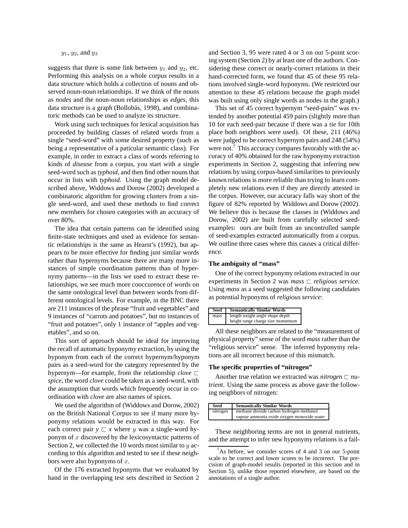### $y_1, y_2,$  and  $y_3$

suggests that there is some link between  $y_1$  and  $y_2$ , etc. Performing this analysis on a whole corpus results in a data structure which holds a collection of nouns and observed noun-noun relationships. If we think of the nouns as *nodes* and the noun-noun relationships as *edges*, this data structure is a graph (Bollobás, 1998), and combinatoric methods can be used to analyze its structure.

Work using such techniques for lexical acquisition has proceeded by building classes of related words from a single "seed-word" with some desired property (such as being a representative of a paticular semantic class). For example, in order to extract a class of words referring to kinds of *disease* from a corpus, you start with a single seed-word such as *typhoid*, and then find other nouns that occur in lists with *typhoid*. Using the graph model described above, Widdows and Dorow (2002) developed a combinatoric algorithm for growing clusters from a single seed-word, and used these methods to find correct new members for chosen categories with an accuracy of over 80%.

The idea that certain patterns can be identified using finite-state techniques and used as evidence for semantic relationships is the same as Hearst's (1992), but appears to be more effective for finding just similar words rather than hypernyms because there are many more instances of simple coordination patterns than of hypernymy patterns—in the lists we used to extract these relationships, we see much more cooccurence of words on the same ontological level than between words from different ontological levels. For example, in the BNC there are 211 instances of the phrase "fruit and vegetables" and 9 instances of "carrots and potatoes", but no instances of "fruit and potatoes", only 1 instance of "apples and vegetables", and so on.

This sort of approach should be ideal for improving the recall of automatic hyponymy extraction, by using the hyponym from each of the correct hypernym/hyponym pairs as a seed-word for the category represented by the hypernym—for example, from the relationship *clove*  $\Box$ *spice*, the word *clove* could be taken as a seed-word, with the assumption that words which frequently occur in coordination with *clove* are also names of spices.

We used the algorithm of (Widdows and Dorow, 2002) on the British National Corpus to see if many more hyponymy relations would be extracted in this way. For each correct pair  $y \rvert x$  where y was a single-word hyponym of  $x$  discovered by the lexicosyntactic patterns of Section 2, we collected the 10 words most similar to  $y$  according to this algorithm and tested to see if these neighbors were also hyponyms of  $x$ .

Of the 176 extracted hyponyms that we evaluated by hand in the overlapping test sets described in Section 2 and Section 3, 95 were rated 4 or 3 on our 5-point scoring system (Section 2) by at least one of the authors. Considering these correct or nearly-correct relations in their hand-corrected form, we found that 45 of these 95 relations involved single-word hyponyms. (We restricted our attention to these 45 relations because the graph model was built using only single words as nodes in the graph.)

This set of 45 correct hypernym "seed-pairs" was extended by another potential 459 pairs (slightly more than 10 for each seed-pair because if there was a tie for 10th place both neighbors were used). Of these, 211 (46%) were judged to be correct hypernym pairs and 248 (54%) were not.<sup>7</sup> This accuracy compares favorably with the accuracy of 40% obtained for the raw hyponymy extraction experiments in Section 2, suggesting that inferring new relations by using corpus-based similarities to previously known relations is more reliable than trying to learn completely new relations even if they are directly attested in the corpus. However, our accuracy falls way short of the figure of 82% reported by Widdows and Dorow (2002). We believe this is because the classes in (Widdows and Dorow, 2002) are built from carefully selected seedexamples: ours are built from an uncontrolled sample of seed-examples extracted automatically from a corpus. We outline three cases where this causes a critical difference.

#### **The ambiguity of "mass"**

One of the correct hyponymy relations extracted in our experiments in Section 2 was  $mass \sqsubset$  *religious service*. Using *mass* as a seed suggested the following candidates as potential hyponyms of *religious service*:

| Seed | <b>Semantically Similar Words</b> |  |
|------|-----------------------------------|--|
| mass | length weight angle shape depth   |  |
|      | height range charge size momentum |  |

All these neighbors are related to the "measurement of physical property" sense of the word *mass* rather than the "religious service" sense. The inferred hyponymy relations are all incorrect because of this mismatch.

#### **The specific properties of "nitrogen"**

Another true relation we extracted was *nitrogen*  $\sqsubset$  *nutrient*. Using the same process as above gave the following neighbors of nitrogen:

| Seed |          | <b>Semantically Similar Words</b>          |
|------|----------|--------------------------------------------|
|      | nitrogen | methane dioxide carbon hydrogen methanol   |
|      |          | vapour ammonia oxide oxygen monoxide water |

These neighboring terms are not in general nutrients, and the attempt to infer new hyponymy relations is a fail-

 $7As$  before, we consider scores of 4 and 3 on our 5-point scale to be correct and lower scores to be incorrect. The precision of graph-model results (reported in this section and in Section 5), unlike those reported elsewhere, are based on the annotations of a single author.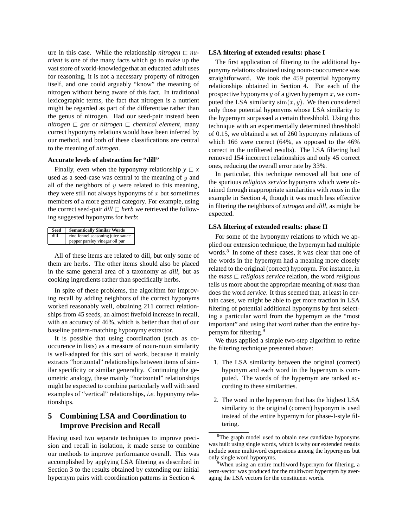ure in this case. While the relationship *nitrogen*  $\Box$  *nutrient* is one of the many facts which go to make up the vast store of world-knowledge that an educated adult uses for reasoning, it is not a necessary property of nitrogen itself, and one could arguably "know" the meaning of nitrogen without being aware of this fact. In traditional lexicographic terms, the fact that nitrogen is a nutrient might be regarded as part of the differentiae rather than the genus of nitrogen. Had our seed-pair instead been *nitrogen*  $\Box$  *gas* or *nitrogen*  $\Box$  *chemical element*, many correct hyponymy relations would have been inferred by our method, and both of these classifications are central to the meaning of *nitrogen*.

#### **Accurate levels of abstraction for "dill"**

Finally, even when the hyponymy relationship  $y \sqsubset x$ used as a seed-case was central to the meaning of  $y$  and all of the neighbors of  $y$  were related to this meaning, they were still not always hyponyms of  $x$  but sometimes members of a more general category. For example, using the correct seed-pair  $dill \sqsubset herb$  we retrieved the following suggested hyponyms for *herb*:

| Seed | <b>Semantically Similar Words</b> |
|------|-----------------------------------|
| dill | rind fennel seasoning juice sauce |
|      | pepper parsley vinegar oil pur    |

All of these items are related to dill, but only some of them are herbs. The other items should also be placed in the same general area of a taxonomy as *dill*, but as cooking ingredients rather than specifically herbs.

In spite of these problems, the algorithm for improving recall by adding neighbors of the correct hyponyms worked reasonably well, obtaining 211 correct relationships from 45 seeds, an almost fivefold increase in recall, with an accuracy of 46%, which is better than that of our baseline pattern-matching hyponymy extractor.

It is possible that using coordination (such as cooccurence in lists) as a measure of noun-noun similarity is well-adapted for this sort of work, because it mainly extracts "horizontal" relationships between items of similar specificity or similar generality. Continuing the geometric analogy, these mainly "horizontal" relationships might be expected to combine particularly well with seed examples of "vertical" relationships, *i.e.* hyponymy relationships.

## **5 Combining LSA and Coordination to Improve Precision and Recall**

Having used two separate techniques to improve precision and recall in isolation, it made sense to combine our methods to improve performance overall. This was accomplished by applying LSA filtering as described in Section 3 to the results obtained by extending our initial hypernym pairs with coordination patterns in Section 4.

#### **LSA filtering of extended results: phase I**

The first application of filtering to the additional hyponymy relations obtained using noun-cooccurrence was straightforward. We took the 459 potential hyponymy relationships obtained in Section 4. For each of the prospective hyponyms  $y$  of a given hypernym  $x$ , we computed the LSA similarity  $\text{sim}(x, y)$ . We then considered only those potential hyponyms whose LSA similarity to the hypernym surpassed a certain threshhold. Using this technique with an experimentally determined threshhold of 0.15, we obtained a set of 260 hyponymy relations of which 166 were correct (64%, as opposed to the 46% correct in the unfiltered results). The LSA filtering had removed 154 incorrect relationships and only 45 correct ones, reducing the overall error rate by 33%.

In particular, this technique removed all but one of the spurious *religious service* hyponyms which were obtained through inappropriate similarities with *mass* in the example in Section 4, though it was much less effective in filtering the neighbors of *nitrogen* and *dill*, as might be expected.

#### **LSA filtering of extended results: phase II**

For some of the hyponymy relations to which we applied our extension technique, the hypernym had multiple words.<sup>8</sup> In some of these cases, it was clear that one of the words in the hypernym had a meaning more closely related to the original (correct) hyponym. For instance, in the *mass*  $\Box$  *religious service* relation, the word *religious* tells us more about the appropriate meaning of *mass* than does the word *service*. It thus seemed that, at least in certain cases, we might be able to get more traction in LSA filtering of potential additional hyponyms by first selecting a particular word from the hypernym as the "most important" and using that word rather than the entire hypernym for filtering.<sup>9</sup>

We thus applied a simple two-step algorithm to refine the filtering technique presented above:

- 1. The LSA similarity between the original (correct) hyponym and each word in the hypernym is computed. The words of the hypernym are ranked according to these similarities.
- 2. The word in the hypernym that has the highest LSA similarity to the original (correct) hyponym is used instead of the entire hypernym for phase-I-style filtering.

<sup>8</sup>The graph model used to obtain new candidate hyponyms was built using single words, which is why our extended results include some multiword expressions among the hypernyms but only single word hyponyms.

<sup>&</sup>lt;sup>9</sup>When using an entire multiword hypernym for filtering, a term-vector was produced for the multiword hypernym by averaging the LSA vectors for the constituent words.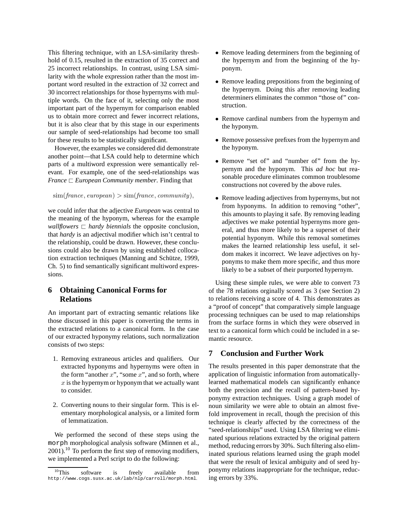This filtering technique, with an LSA-similarity threshhold of 0.15, resulted in the extraction of 35 correct and 25 incorrect relationships. In contrast, using LSA similarity with the whole expression rather than the most important word resulted in the extraction of 32 correct and 30 incorrect relationships for those hypernyms with multiple words. On the face of it, selecting only the most important part of the hypernym for comparison enabled us to obtain more correct and fewer incorrect relations, but it is also clear that by this stage in our experiments our sample of seed-relationships had become too small for these results to be statistically significant.

However, the examples we considered did demonstrate another point—that LSA could help to determine which parts of a multiword expression were semantically relevant. For example, one of the seed-relationships was *France*  $\sqsubset$  *European Community member.* Finding that

```
\text{sim}(\text{france}, \text{european}) > \text{sim}(\text{france}, \text{community}).
```
we could infer that the adjective *European* was central to the meaning of the hyponym, whereas for the example *wallflowers*  $\Box$  *hardy biennials* the opposite conclusion, that *hardy* is an adjectival modifier which isn't central to the relationship, could be drawn. However, these conclusions could also be drawn by using established collocation extraction techniques (Manning and Schütze, 1999, Ch. 5) to find semantically significant multiword expressions.

# **6 Obtaining Canonical Forms for Relations**

An important part of extracting semantic relations like those discussed in this paper is converting the terms in the extracted relations to a canonical form. In the case of our extracted hyponymy relations, such normalization consists of two steps:

- 1. Removing extraneous articles and qualifiers. Our extracted hyponyms and hypernyms were often in the form "another  $x$ ", "some  $x$ ", and so forth, where  $x$  is the hypernym or hyponym that we actually want to consider.
- 2. Converting nouns to their singular form. This is elementary morphological analysis, or a limited form of lemmatization.

We performed the second of these steps using the morph morphological analysis software (Minnen et al.,  $2001$ .<sup>10</sup> To perform the first step of removing modifiers, we implemented a Perl script to do the following:

- Remove leading determiners from the beginning of the hypernym and from the beginning of the hyponym.
- Remove leading prepositions from the beginning of the hypernym. Doing this after removing leading determiners eliminates the common "those of" construction.
- Remove cardinal numbers from the hypernym and the hyponym.
- Remove possessive prefixes from the hypernym and the hyponym.
- Remove "set of" and "number of" from the hypernym and the hyponym. This *ad hoc* but reasonable procedure eliminates common troublesome constructions not covered by the above rules.
- Remove leading adjectives from hypernyms, but not from hyponyms. In addition to removing "other", this amounts to playing it safe. By removing leading adjectives we make potential hypernyms more general, and thus more likely to be a superset of their potential hyponym. While this removal sometimes makes the learned relationship less useful, it seldom makes it incorrect. We leave adjectives on hyponyms to make them more specific, and thus more likely to be a subset of their purported hypernym.

Using these simple rules, we were able to convert 73 of the 78 relations orginally scored as 3 (see Section 2) to relations receiving a score of 4. This demonstrates as a "proof of concept" that comparatively simple language processing techniques can be used to map relationships from the surface forms in which they were observed in text to a canonical form which could be included in a semantic resource.

# **7 Conclusion and Further Work**

The results presented in this paper demonstrate that the application of linguistic information from automaticallylearned mathematical models can significantly enhance both the precision and the recall of pattern-based hyponymy extraction techniques. Using a graph model of noun similarity we were able to obtain an almost fivefold improvement in recall, though the precision of this technique is clearly affected by the correctness of the "seed-relationships" used. Using LSA filtering we eliminated spurious relations extracted by the original pattern method, reducing errors by 30%. Such filtering also eliminated spurious relations learned using the graph model that were the result of lexical ambiguity and of seed hyponymy relations inappropriate for the technique, reducing errors by 33%.

 $^{10}$ This software is freely available from http://www.cogs.susx.ac.uk/lab/nlp/carroll/morph.html.